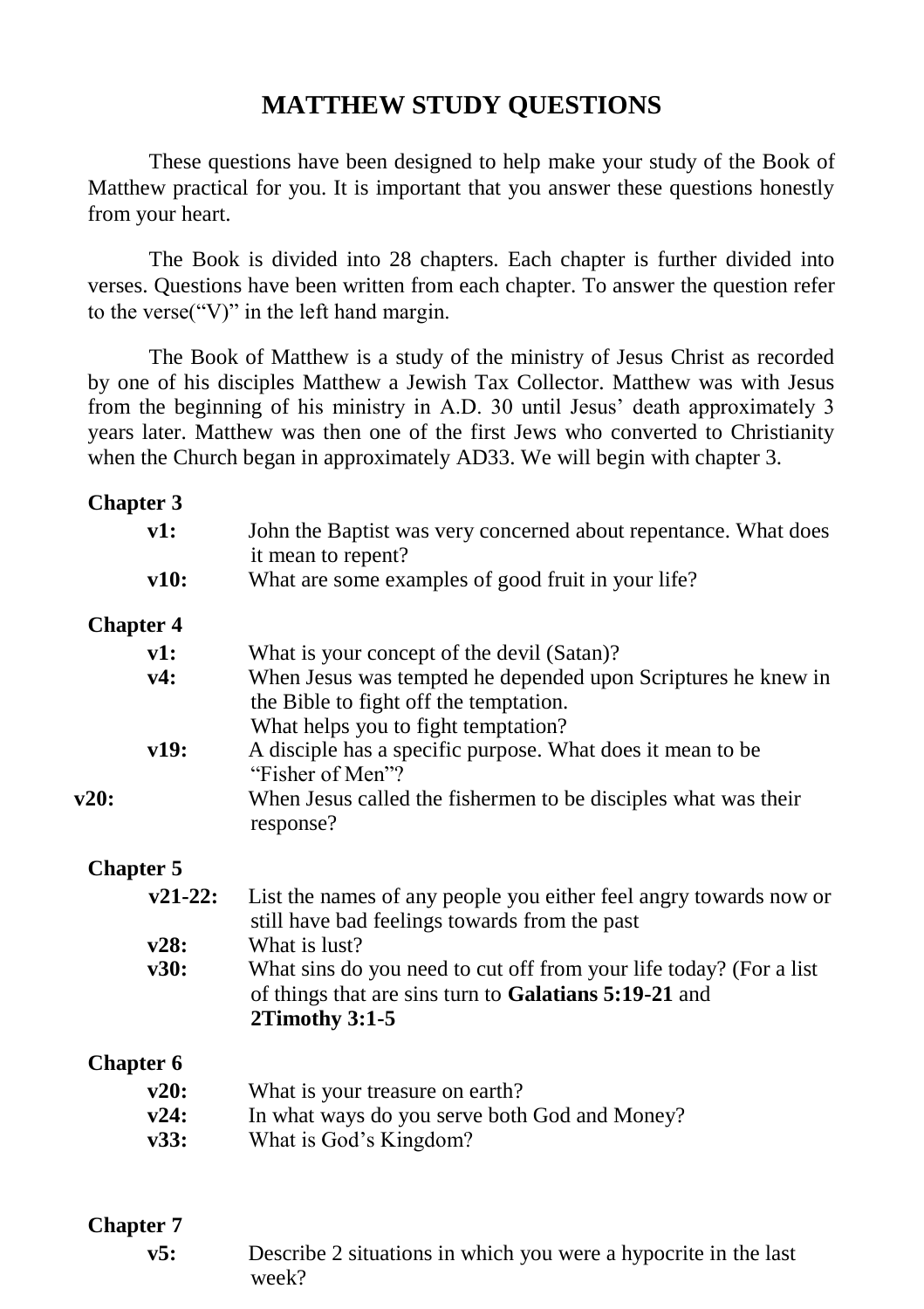# **MATTHEW STUDY QUESTIONS**

These questions have been designed to help make your study of the Book of Matthew practical for you. It is important that you answer these questions honestly from your heart.

The Book is divided into 28 chapters. Each chapter is further divided into verses. Questions have been written from each chapter. To answer the question refer to the verse("V)" in the left hand margin.

The Book of Matthew is a study of the ministry of Jesus Christ as recorded by one of his disciples Matthew a Jewish Tax Collector. Matthew was with Jesus from the beginning of his ministry in A.D. 30 until Jesus' death approximately 3 years later. Matthew was then one of the first Jews who converted to Christianity when the Church began in approximately AD33. We will begin with chapter 3.

#### **Chapter 3**

| v1:              | John the Baptist was very concerned about repentance. What does<br>it mean to repent?                                                           |
|------------------|-------------------------------------------------------------------------------------------------------------------------------------------------|
| v10:             | What are some examples of good fruit in your life?                                                                                              |
| <b>Chapter 4</b> |                                                                                                                                                 |
| v1:              | What is your concept of the devil (Satan)?                                                                                                      |
| v4:              | When Jesus was tempted he depended upon Scriptures he knew in<br>the Bible to fight off the temptation.                                         |
| v19:             | What helps you to fight temptation?<br>A disciple has a specific purpose. What does it mean to be<br>"Fisher of Men"?                           |
| v20:             | When Jesus called the fishermen to be disciples what was their<br>response?                                                                     |
| <b>Chapter 5</b> |                                                                                                                                                 |
| $v21-22:$        | List the names of any people you either feel angry towards now or<br>still have bad feelings towards from the past                              |
| v28:             | What is lust?                                                                                                                                   |
| v30:             | What sins do you need to cut off from your life today? (For a list<br>of things that are sins turn to Galatians 5:19-21 and<br>$2Timothy$ 3:1-5 |
| <b>Chapter 6</b> |                                                                                                                                                 |
| v20:             | What is your treasure on earth?                                                                                                                 |
| v24:             | In what ways do you serve both God and Money?                                                                                                   |
| v33:             | What is God's Kingdom?                                                                                                                          |

#### **Chapter 7**

**v5:** Describe 2 situations in which you were a hypocrite in the last week?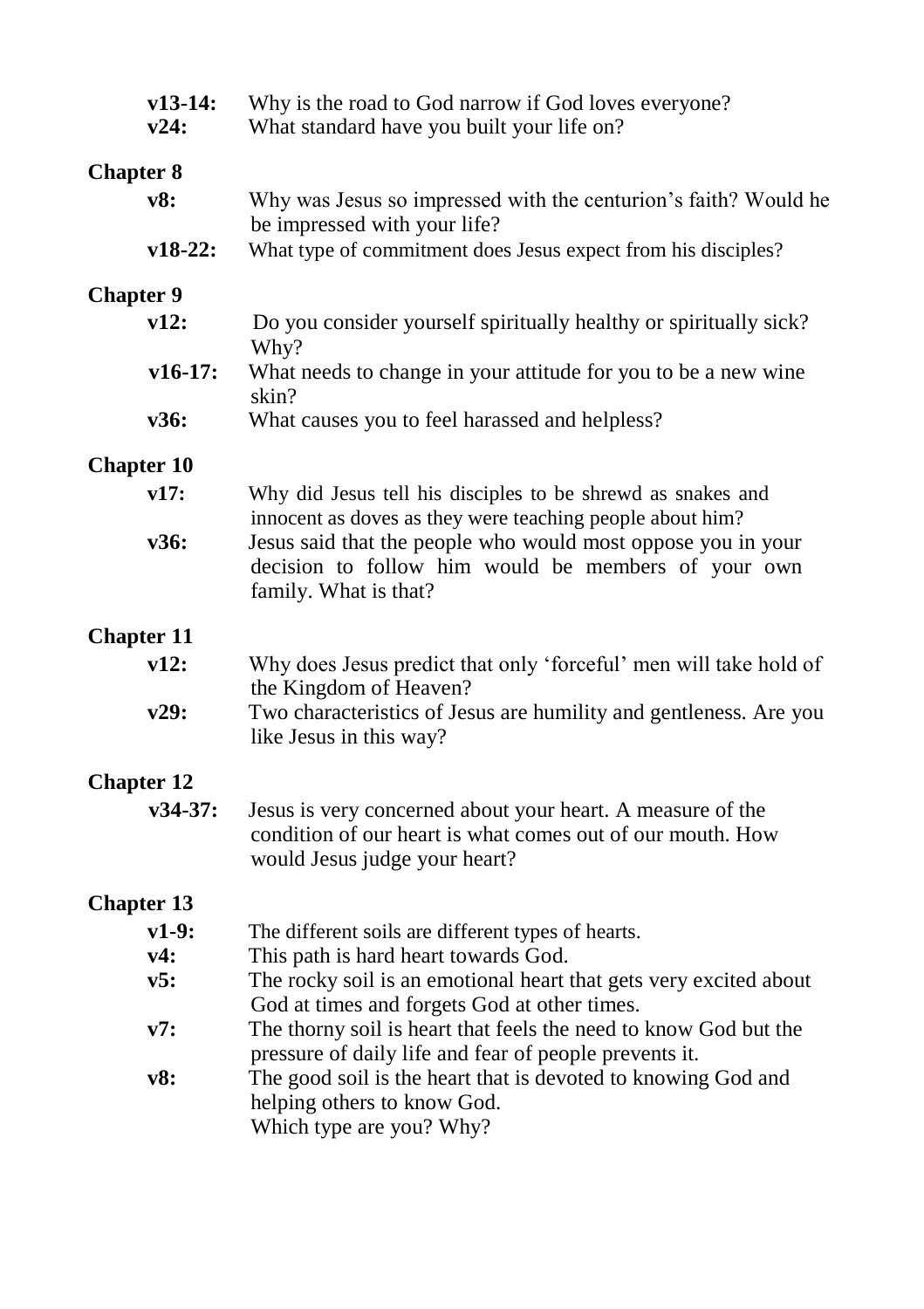| $v13-14:$<br>v24: | Why is the road to God narrow if God loves everyone?<br>What standard have you built your life on?                                                        |  |
|-------------------|-----------------------------------------------------------------------------------------------------------------------------------------------------------|--|
| <b>Chapter 8</b>  |                                                                                                                                                           |  |
| v8:               | Why was Jesus so impressed with the centurion's faith? Would he<br>be impressed with your life?                                                           |  |
| $v18-22:$         | What type of commitment does Jesus expect from his disciples?                                                                                             |  |
| <b>Chapter 9</b>  |                                                                                                                                                           |  |
| v12:              | Do you consider yourself spiritually healthy or spiritually sick?<br>Why?                                                                                 |  |
| $v16-17:$         | What needs to change in your attitude for you to be a new wine<br>skin?                                                                                   |  |
| v36:              | What causes you to feel harassed and helpless?                                                                                                            |  |
| <b>Chapter 10</b> |                                                                                                                                                           |  |
| v17:              | Why did Jesus tell his disciples to be shrewd as snakes and<br>innocent as doves as they were teaching people about him?                                  |  |
| v36:              | Jesus said that the people who would most oppose you in your<br>decision to follow him would be members of your own<br>family. What is that?              |  |
| <b>Chapter 11</b> |                                                                                                                                                           |  |
| v12:              | Why does Jesus predict that only 'forceful' men will take hold of<br>the Kingdom of Heaven?                                                               |  |
| v29:              | Two characteristics of Jesus are humility and gentleness. Are you<br>like Jesus in this way?                                                              |  |
| <b>Chapter 12</b> |                                                                                                                                                           |  |
| v34-37:           | Jesus is very concerned about your heart. A measure of the<br>condition of our heart is what comes out of our mouth. How<br>would Jesus judge your heart? |  |
| <b>Chapter 13</b> |                                                                                                                                                           |  |
| $v1-9:$           | The different soils are different types of hearts.                                                                                                        |  |
| v4:               | This path is hard heart towards God.                                                                                                                      |  |
| v5:               | The rocky soil is an emotional heart that gets very excited about<br>God at times and forgets God at other times.                                         |  |
| v7:               | The thorny soil is heart that feels the need to know God but the<br>pressure of daily life and fear of people prevents it.                                |  |
| v8:               | The good soil is the heart that is devoted to knowing God and<br>helping others to know God.<br>Which type are you? Why?                                  |  |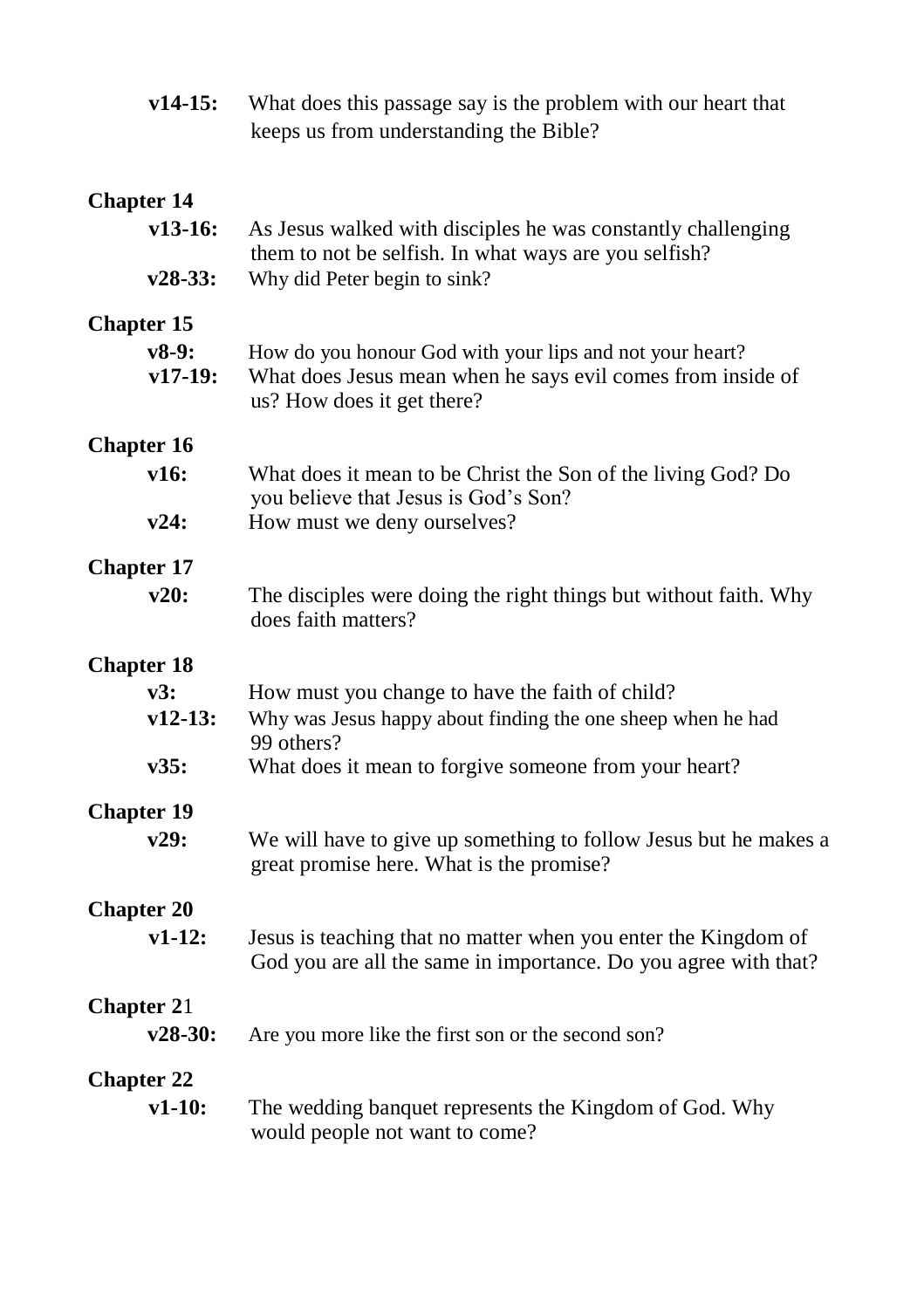| $v14-15:$                               | What does this passage say is the problem with our heart that<br>keeps us from understanding the Bible?                                               |
|-----------------------------------------|-------------------------------------------------------------------------------------------------------------------------------------------------------|
| <b>Chapter 14</b>                       |                                                                                                                                                       |
| $v13-16:$                               | As Jesus walked with disciples he was constantly challenging<br>them to not be selfish. In what ways are you selfish?                                 |
| $v28-33:$                               | Why did Peter begin to sink?                                                                                                                          |
| <b>Chapter 15</b><br>$v8-9:$<br>v17-19: | How do you honour God with your lips and not your heart?<br>What does Jesus mean when he says evil comes from inside of<br>us? How does it get there? |
| <b>Chapter 16</b>                       |                                                                                                                                                       |
| v16:                                    | What does it mean to be Christ the Son of the living God? Do<br>you believe that Jesus is God's Son?                                                  |
| v24:                                    | How must we deny ourselves?                                                                                                                           |
| <b>Chapter 17</b>                       |                                                                                                                                                       |
| v20:                                    | The disciples were doing the right things but without faith. Why<br>does faith matters?                                                               |
| <b>Chapter 18</b>                       |                                                                                                                                                       |
| v3:                                     | How must you change to have the faith of child?                                                                                                       |
| $v12-13:$                               | Why was Jesus happy about finding the one sheep when he had<br>99 others?                                                                             |
| v35:                                    | What does it mean to forgive someone from your heart?                                                                                                 |
| <b>Chapter 19</b>                       |                                                                                                                                                       |
| v29:                                    | We will have to give up something to follow Jesus but he makes a<br>great promise here. What is the promise?                                          |
| <b>Chapter 20</b>                       |                                                                                                                                                       |
| $v1-12:$                                | Jesus is teaching that no matter when you enter the Kingdom of<br>God you are all the same in importance. Do you agree with that?                     |
| <b>Chapter 21</b>                       |                                                                                                                                                       |
| $v28-30:$                               | Are you more like the first son or the second son?                                                                                                    |
| <b>Chapter 22</b>                       |                                                                                                                                                       |
| $v1-10:$                                | The wedding banquet represents the Kingdom of God. Why<br>would people not want to come?                                                              |